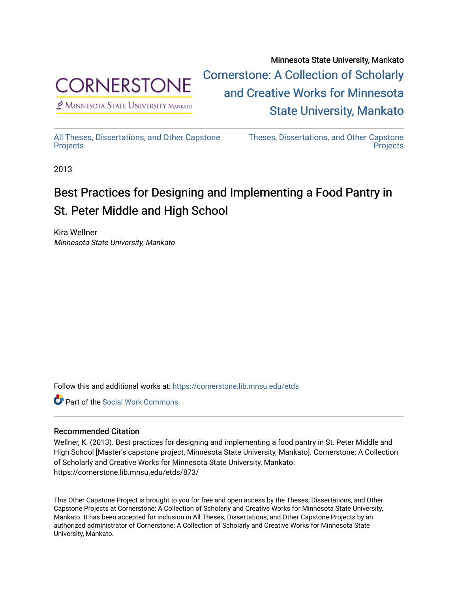

 $<sup>2</sup>$  Minnesota State University Mankato</sup>

Minnesota State University, Mankato [Cornerstone: A Collection of Scholarly](https://cornerstone.lib.mnsu.edu/)  [and Creative Works for Minnesota](https://cornerstone.lib.mnsu.edu/)  [State University, Mankato](https://cornerstone.lib.mnsu.edu/) 

[All Theses, Dissertations, and Other Capstone](https://cornerstone.lib.mnsu.edu/etds)  **[Projects](https://cornerstone.lib.mnsu.edu/etds)** 

[Theses, Dissertations, and Other Capstone](https://cornerstone.lib.mnsu.edu/theses_dissertations-capstone)  **Projects** 

2013

# Best Practices for Designing and Implementing a Food Pantry in St. Peter Middle and High School

Kira Wellner Minnesota State University, Mankato

Follow this and additional works at: [https://cornerstone.lib.mnsu.edu/etds](https://cornerstone.lib.mnsu.edu/etds?utm_source=cornerstone.lib.mnsu.edu%2Fetds%2F873&utm_medium=PDF&utm_campaign=PDFCoverPages) 

**C** Part of the [Social Work Commons](http://network.bepress.com/hgg/discipline/713?utm_source=cornerstone.lib.mnsu.edu%2Fetds%2F873&utm_medium=PDF&utm_campaign=PDFCoverPages)

## Recommended Citation

Wellner, K. (2013). Best practices for designing and implementing a food pantry in St. Peter Middle and High School [Master's capstone project, Minnesota State University, Mankato]. Cornerstone: A Collection of Scholarly and Creative Works for Minnesota State University, Mankato. https://cornerstone.lib.mnsu.edu/etds/873/

This Other Capstone Project is brought to you for free and open access by the Theses, Dissertations, and Other Capstone Projects at Cornerstone: A Collection of Scholarly and Creative Works for Minnesota State University, Mankato. It has been accepted for inclusion in All Theses, Dissertations, and Other Capstone Projects by an authorized administrator of Cornerstone: A Collection of Scholarly and Creative Works for Minnesota State University, Mankato.